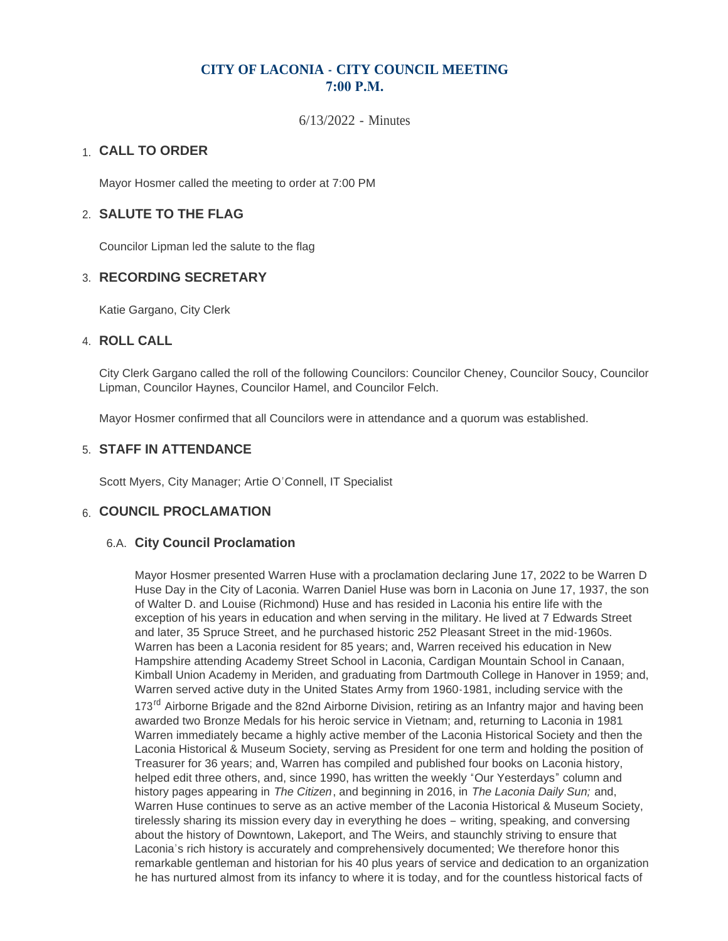# **CITY OF LACONIA - CITY COUNCIL MEETING 7:00 P.M.**

6/13/2022 - Minutes

# **CALL TO ORDER**  1.

Mayor Hosmer called the meeting to order at 7:00 PM

## **SALUTE TO THE FLAG** 2.

Councilor Lipman led the salute to the flag

## **RECORDING SECRETARY** 3.

Katie Gargano, City Clerk

#### **ROLL CALL** 4.

City Clerk Gargano called the roll of the following Councilors: Councilor Cheney, Councilor Soucy, Councilor Lipman, Councilor Haynes, Councilor Hamel, and Councilor Felch.

Mayor Hosmer confirmed that all Councilors were in attendance and a quorum was established.

#### **STAFF IN ATTENDANCE** 5.

Scott Myers, City Manager; Artie O'Connell, IT Specialist

## **6. COUNCIL PROCLAMATION**

#### **City Council Proclamation** 6.A.

Mayor Hosmer presented Warren Huse with a proclamation declaring June 17, 2022 to be Warren D Huse Day in the City of Laconia. Warren Daniel Huse was born in Laconia on June 17, 1937, the son of Walter D. and Louise (Richmond) Huse and has resided in Laconia his entire life with the exception of his years in education and when serving in the military. He lived at 7 Edwards Street and later, 35 Spruce Street, and he purchased historic 252 Pleasant Street in the mid-1960s. Warren has been a Laconia resident for 85 years; and, Warren received his education in New Hampshire attending Academy Street School in Laconia, Cardigan Mountain School in Canaan, Kimball Union Academy in Meriden, and graduating from Dartmouth College in Hanover in 1959; and, Warren served active duty in the United States Army from 1960-1981, including service with the 173<sup>rd</sup> Airborne Brigade and the 82nd Airborne Division, retiring as an Infantry major and having been awarded two Bronze Medals for his heroic service in Vietnam; and, returning to Laconia in 1981 Warren immediately became a highly active member of the Laconia Historical Society and then the Laconia Historical & Museum Society, serving as President for one term and holding the position of Treasurer for 36 years; and, Warren has compiled and published four books on Laconia history, helped edit three others, and, since 1990, has written the weekly "Our Yesterdays" column and history pages appearing in *The Citizen*, and beginning in 2016, in *The Laconia Daily Sun;* and, Warren Huse continues to serve as an active member of the Laconia Historical & Museum Society, tirelessly sharing its mission every day in everything he does – writing, speaking, and conversing about the history of Downtown, Lakeport, and The Weirs, and staunchly striving to ensure that Laconia's rich history is accurately and comprehensively documented; We therefore honor this remarkable gentleman and historian for his 40 plus years of service and dedication to an organization he has nurtured almost from its infancy to where it is today, and for the countless historical facts of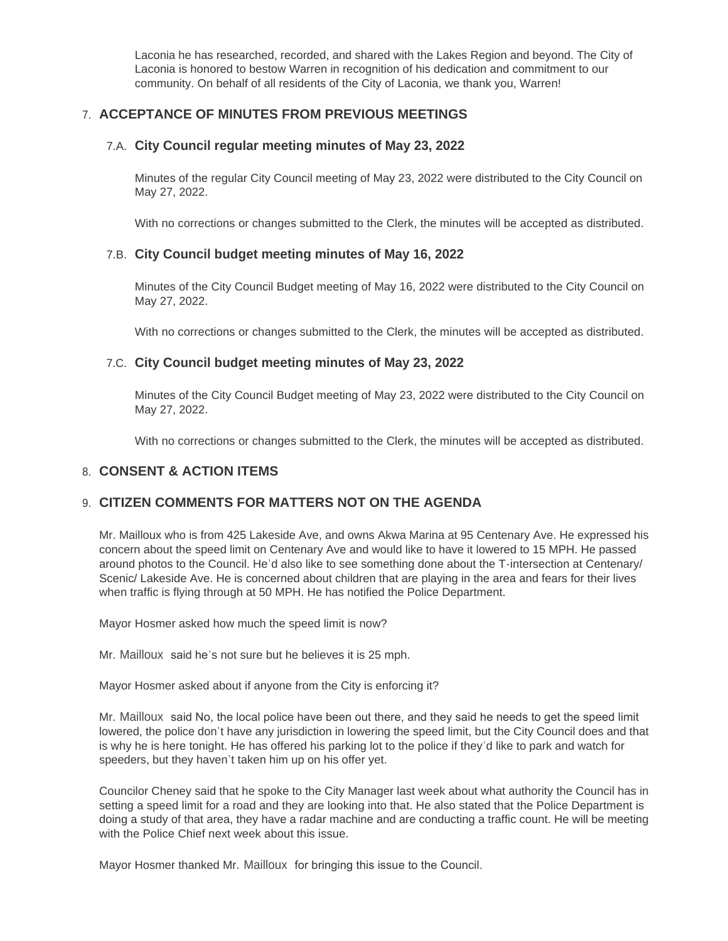Laconia he has researched, recorded, and shared with the Lakes Region and beyond. The City of Laconia is honored to bestow Warren in recognition of his dedication and commitment to our community. On behalf of all residents of the City of Laconia, we thank you, Warren!

## **ACCEPTANCE OF MINUTES FROM PREVIOUS MEETINGS** 7.

#### **City Council regular meeting minutes of May 23, 2022** 7.A.

Minutes of the regular City Council meeting of May 23, 2022 were distributed to the City Council on May 27, 2022.

With no corrections or changes submitted to the Clerk, the minutes will be accepted as distributed.

#### **City Council budget meeting minutes of May 16, 2022** 7.B.

Minutes of the City Council Budget meeting of May 16, 2022 were distributed to the City Council on May 27, 2022.

With no corrections or changes submitted to the Clerk, the minutes will be accepted as distributed.

#### **City Council budget meeting minutes of May 23, 2022** 7.C.

Minutes of the City Council Budget meeting of May 23, 2022 were distributed to the City Council on May 27, 2022.

With no corrections or changes submitted to the Clerk, the minutes will be accepted as distributed.

#### **CONSENT & ACTION ITEMS** 8.

## **CITIZEN COMMENTS FOR MATTERS NOT ON THE AGENDA** 9.

Mr. Mailloux who is from 425 Lakeside Ave, and owns Akwa Marina at 95 Centenary Ave. He expressed his concern about the speed limit on Centenary Ave and would like to have it lowered to 15 MPH. He passed around photos to the Council. He'd also like to see something done about the T-intersection at Centenary/ Scenic/ Lakeside Ave. He is concerned about children that are playing in the area and fears for their lives when traffic is flying through at 50 MPH. He has notified the Police Department.

Mayor Hosmer asked how much the speed limit is now?

Mr. Mailloux said he's not sure but he believes it is 25 mph.

Mayor Hosmer asked about if anyone from the City is enforcing it?

Mr. Mailloux said No, the local police have been out there, and they said he needs to get the speed limit lowered, the police don't have any jurisdiction in lowering the speed limit, but the City Council does and that is why he is here tonight. He has offered his parking lot to the police if they'd like to park and watch for speeders, but they haven't taken him up on his offer yet.

Councilor Cheney said that he spoke to the City Manager last week about what authority the Council has in setting a speed limit for a road and they are looking into that. He also stated that the Police Department is doing a study of that area, they have a radar machine and are conducting a traffic count. He will be meeting with the Police Chief next week about this issue.

Mayor Hosmer thanked Mr. Mailloux for bringing this issue to the Council.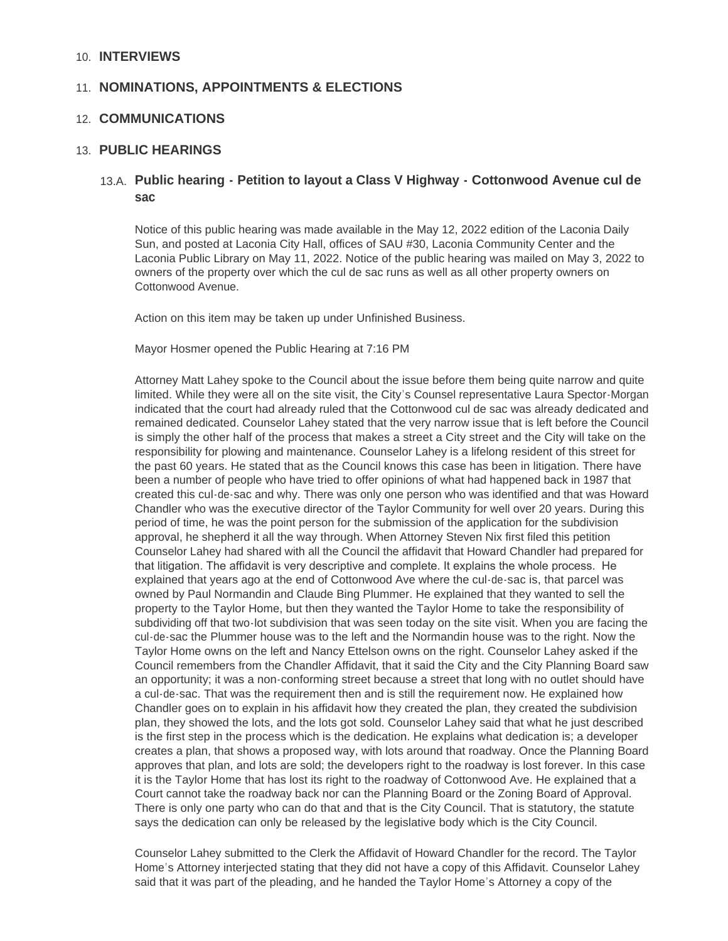#### **INTERVIEWS** 10.

## 11. NOMINATIONS, APPOINTMENTS & ELECTIONS

## **COMMUNICATIONS** 12.

#### **PUBLIC HEARINGS** 13.

## **Public hearing - Petition to layout a Class V Highway - Cottonwood Avenue cul de**  13.A. **sac**

Notice of this public hearing was made available in the May 12, 2022 edition of the Laconia Daily Sun, and posted at Laconia City Hall, offices of SAU #30, Laconia Community Center and the Laconia Public Library on May 11, 2022. Notice of the public hearing was mailed on May 3, 2022 to owners of the property over which the cul de sac runs as well as all other property owners on Cottonwood Avenue.

Action on this item may be taken up under Unfinished Business.

Mayor Hosmer opened the Public Hearing at 7:16 PM

Attorney Matt Lahey spoke to the Council about the issue before them being quite narrow and quite limited. While they were all on the site visit, the City's Counsel representative Laura Spector-Morgan indicated that the court had already ruled that the Cottonwood cul de sac was already dedicated and remained dedicated. Counselor Lahey stated that the very narrow issue that is left before the Council is simply the other half of the process that makes a street a City street and the City will take on the responsibility for plowing and maintenance. Counselor Lahey is a lifelong resident of this street for the past 60 years. He stated that as the Council knows this case has been in litigation. There have been a number of people who have tried to offer opinions of what had happened back in 1987 that created this cul-de-sac and why. There was only one person who was identified and that was Howard Chandler who was the executive director of the Taylor Community for well over 20 years. During this period of time, he was the point person for the submission of the application for the subdivision approval, he shepherd it all the way through. When Attorney Steven Nix first filed this petition Counselor Lahey had shared with all the Council the affidavit that Howard Chandler had prepared for that litigation. The affidavit is very descriptive and complete. It explains the whole process. He explained that years ago at the end of Cottonwood Ave where the cul-de-sac is, that parcel was owned by Paul Normandin and Claude Bing Plummer. He explained that they wanted to sell the property to the Taylor Home, but then they wanted the Taylor Home to take the responsibility of subdividing off that two-lot subdivision that was seen today on the site visit. When you are facing the cul-de-sac the Plummer house was to the left and the Normandin house was to the right. Now the Taylor Home owns on the left and Nancy Ettelson owns on the right. Counselor Lahey asked if the Council remembers from the Chandler Affidavit, that it said the City and the City Planning Board saw an opportunity; it was a non-conforming street because a street that long with no outlet should have a cul-de-sac. That was the requirement then and is still the requirement now. He explained how Chandler goes on to explain in his affidavit how they created the plan, they created the subdivision plan, they showed the lots, and the lots got sold. Counselor Lahey said that what he just described is the first step in the process which is the dedication. He explains what dedication is; a developer creates a plan, that shows a proposed way, with lots around that roadway. Once the Planning Board approves that plan, and lots are sold; the developers right to the roadway is lost forever. In this case it is the Taylor Home that has lost its right to the roadway of Cottonwood Ave. He explained that a Court cannot take the roadway back nor can the Planning Board or the Zoning Board of Approval. There is only one party who can do that and that is the City Council. That is statutory, the statute says the dedication can only be released by the legislative body which is the City Council.

Counselor Lahey submitted to the Clerk the Affidavit of Howard Chandler for the record. The Taylor Home's Attorney interjected stating that they did not have a copy of this Affidavit. Counselor Lahey said that it was part of the pleading, and he handed the Taylor Home's Attorney a copy of the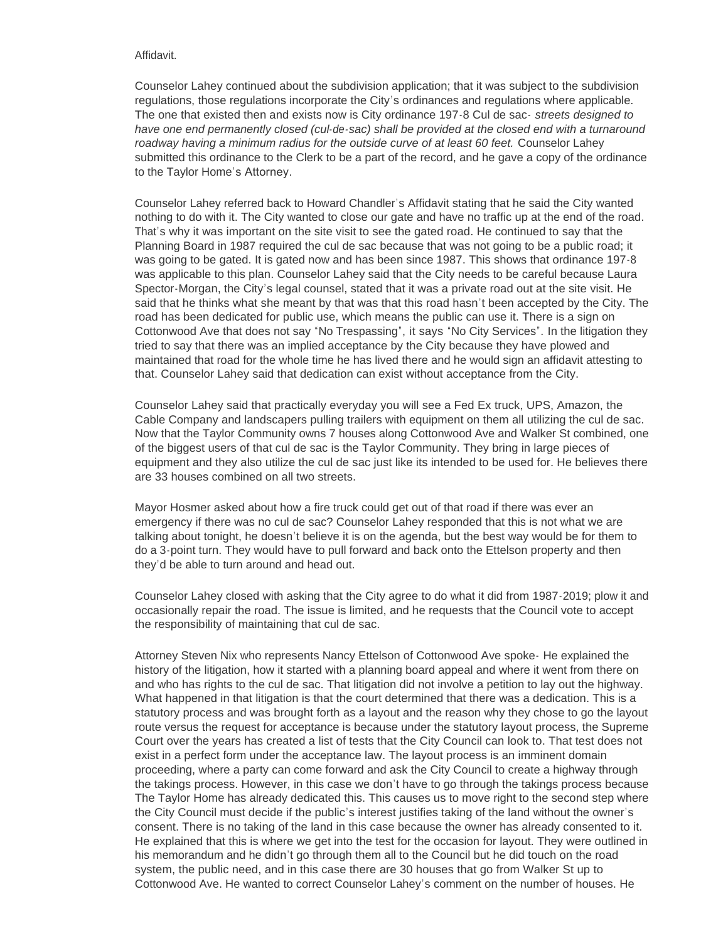#### Affidavit.

Counselor Lahey continued about the subdivision application; that it was subject to the subdivision regulations, those regulations incorporate the City's ordinances and regulations where applicable. The one that existed then and exists now is City ordinance 197-8 Cul de sac- *streets designed to have one end permanently closed (cul-de-sac) shall be provided at the closed end with a turnaround roadway having a minimum radius for the outside curve of at least 60 feet.* Counselor Lahey submitted this ordinance to the Clerk to be a part of the record, and he gave a copy of the ordinance to the Taylor Home's Attorney.

Counselor Lahey referred back to Howard Chandler's Affidavit stating that he said the City wanted nothing to do with it. The City wanted to close our gate and have no traffic up at the end of the road. That's why it was important on the site visit to see the gated road. He continued to say that the Planning Board in 1987 required the cul de sac because that was not going to be a public road; it was going to be gated. It is gated now and has been since 1987. This shows that ordinance 197-8 was applicable to this plan. Counselor Lahey said that the City needs to be careful because Laura Spector-Morgan, the City's legal counsel, stated that it was a private road out at the site visit. He said that he thinks what she meant by that was that this road hasn't been accepted by the City. The road has been dedicated for public use, which means the public can use it. There is a sign on Cottonwood Ave that does not say "No Trespassing", it says "No City Services". In the litigation they tried to say that there was an implied acceptance by the City because they have plowed and maintained that road for the whole time he has lived there and he would sign an affidavit attesting to that. Counselor Lahey said that dedication can exist without acceptance from the City.

Counselor Lahey said that practically everyday you will see a Fed Ex truck, UPS, Amazon, the Cable Company and landscapers pulling trailers with equipment on them all utilizing the cul de sac. Now that the Taylor Community owns 7 houses along Cottonwood Ave and Walker St combined, one of the biggest users of that cul de sac is the Taylor Community. They bring in large pieces of equipment and they also utilize the cul de sac just like its intended to be used for. He believes there are 33 houses combined on all two streets.

Mayor Hosmer asked about how a fire truck could get out of that road if there was ever an emergency if there was no cul de sac? Counselor Lahey responded that this is not what we are talking about tonight, he doesn't believe it is on the agenda, but the best way would be for them to do a 3-point turn. They would have to pull forward and back onto the Ettelson property and then they'd be able to turn around and head out.

Counselor Lahey closed with asking that the City agree to do what it did from 1987-2019; plow it and occasionally repair the road. The issue is limited, and he requests that the Council vote to accept the responsibility of maintaining that cul de sac.

Attorney Steven Nix who represents Nancy Ettelson of Cottonwood Ave spoke- He explained the history of the litigation, how it started with a planning board appeal and where it went from there on and who has rights to the cul de sac. That litigation did not involve a petition to lay out the highway. What happened in that litigation is that the court determined that there was a dedication. This is a statutory process and was brought forth as a layout and the reason why they chose to go the layout route versus the request for acceptance is because under the statutory layout process, the Supreme Court over the years has created a list of tests that the City Council can look to. That test does not exist in a perfect form under the acceptance law. The layout process is an imminent domain proceeding, where a party can come forward and ask the City Council to create a highway through the takings process. However, in this case we don't have to go through the takings process because The Taylor Home has already dedicated this. This causes us to move right to the second step where the City Council must decide if the public's interest justifies taking of the land without the owner's consent. There is no taking of the land in this case because the owner has already consented to it. He explained that this is where we get into the test for the occasion for layout. They were outlined in his memorandum and he didn't go through them all to the Council but he did touch on the road system, the public need, and in this case there are 30 houses that go from Walker St up to Cottonwood Ave. He wanted to correct Counselor Lahey's comment on the number of houses. He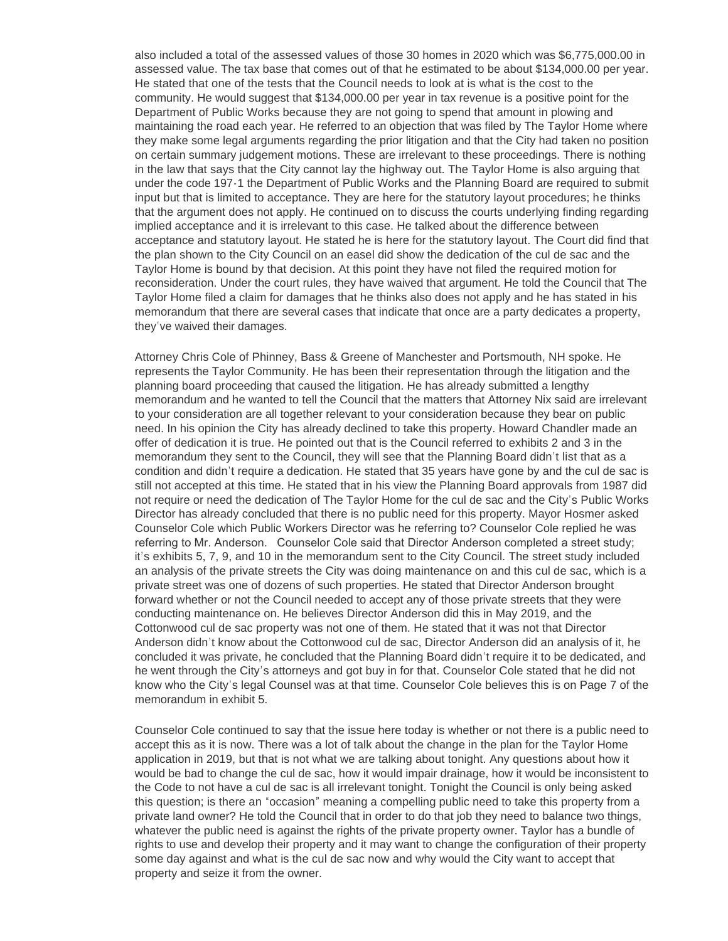also included a total of the assessed values of those 30 homes in 2020 which was \$6,775,000.00 in assessed value. The tax base that comes out of that he estimated to be about \$134,000.00 per year. He stated that one of the tests that the Council needs to look at is what is the cost to the community. He would suggest that \$134,000.00 per year in tax revenue is a positive point for the Department of Public Works because they are not going to spend that amount in plowing and maintaining the road each year. He referred to an objection that was filed by The Taylor Home where they make some legal arguments regarding the prior litigation and that the City had taken no position on certain summary judgement motions. These are irrelevant to these proceedings. There is nothing in the law that says that the City cannot lay the highway out. The Taylor Home is also arguing that under the code 197-1 the Department of Public Works and the Planning Board are required to submit input but that is limited to acceptance. They are here for the statutory layout procedures; he thinks that the argument does not apply. He continued on to discuss the courts underlying finding regarding implied acceptance and it is irrelevant to this case. He talked about the difference between acceptance and statutory layout. He stated he is here for the statutory layout. The Court did find that the plan shown to the City Council on an easel did show the dedication of the cul de sac and the Taylor Home is bound by that decision. At this point they have not filed the required motion for reconsideration. Under the court rules, they have waived that argument. He told the Council that The Taylor Home filed a claim for damages that he thinks also does not apply and he has stated in his memorandum that there are several cases that indicate that once are a party dedicates a property, they've waived their damages.

Attorney Chris Cole of Phinney, Bass & Greene of Manchester and Portsmouth, NH spoke. He represents the Taylor Community. He has been their representation through the litigation and the planning board proceeding that caused the litigation. He has already submitted a lengthy memorandum and he wanted to tell the Council that the matters that Attorney Nix said are irrelevant to your consideration are all together relevant to your consideration because they bear on public need. In his opinion the City has already declined to take this property. Howard Chandler made an offer of dedication it is true. He pointed out that is the Council referred to exhibits 2 and 3 in the memorandum they sent to the Council, they will see that the Planning Board didn't list that as a condition and didn't require a dedication. He stated that 35 years have gone by and the cul de sac is still not accepted at this time. He stated that in his view the Planning Board approvals from 1987 did not require or need the dedication of The Taylor Home for the cul de sac and the City's Public Works Director has already concluded that there is no public need for this property. Mayor Hosmer asked Counselor Cole which Public Workers Director was he referring to? Counselor Cole replied he was referring to Mr. Anderson. Counselor Cole said that Director Anderson completed a street study; it's exhibits 5, 7, 9, and 10 in the memorandum sent to the City Council. The street study included an analysis of the private streets the City was doing maintenance on and this cul de sac, which is a private street was one of dozens of such properties. He stated that Director Anderson brought forward whether or not the Council needed to accept any of those private streets that they were conducting maintenance on. He believes Director Anderson did this in May 2019, and the Cottonwood cul de sac property was not one of them. He stated that it was not that Director Anderson didn't know about the Cottonwood cul de sac, Director Anderson did an analysis of it, he concluded it was private, he concluded that the Planning Board didn't require it to be dedicated, and he went through the City's attorneys and got buy in for that. Counselor Cole stated that he did not know who the City's legal Counsel was at that time. Counselor Cole believes this is on Page 7 of the memorandum in exhibit 5.

Counselor Cole continued to say that the issue here today is whether or not there is a public need to accept this as it is now. There was a lot of talk about the change in the plan for the Taylor Home application in 2019, but that is not what we are talking about tonight. Any questions about how it would be bad to change the cul de sac, how it would impair drainage, how it would be inconsistent to the Code to not have a cul de sac is all irrelevant tonight. Tonight the Council is only being asked this question; is there an "occasion" meaning a compelling public need to take this property from a private land owner? He told the Council that in order to do that job they need to balance two things, whatever the public need is against the rights of the private property owner. Taylor has a bundle of rights to use and develop their property and it may want to change the configuration of their property some day against and what is the cul de sac now and why would the City want to accept that property and seize it from the owner.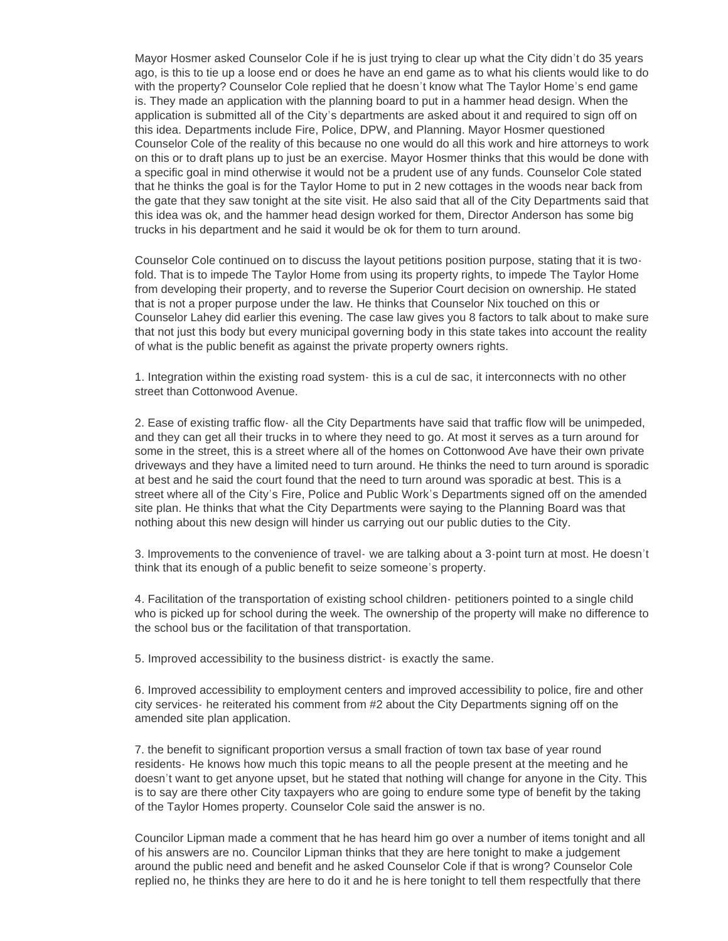Mayor Hosmer asked Counselor Cole if he is just trying to clear up what the City didn't do 35 years ago, is this to tie up a loose end or does he have an end game as to what his clients would like to do with the property? Counselor Cole replied that he doesn't know what The Taylor Home's end game is. They made an application with the planning board to put in a hammer head design. When the application is submitted all of the City's departments are asked about it and required to sign off on this idea. Departments include Fire, Police, DPW, and Planning. Mayor Hosmer questioned Counselor Cole of the reality of this because no one would do all this work and hire attorneys to work on this or to draft plans up to just be an exercise. Mayor Hosmer thinks that this would be done with a specific goal in mind otherwise it would not be a prudent use of any funds. Counselor Cole stated that he thinks the goal is for the Taylor Home to put in 2 new cottages in the woods near back from the gate that they saw tonight at the site visit. He also said that all of the City Departments said that this idea was ok, and the hammer head design worked for them, Director Anderson has some big trucks in his department and he said it would be ok for them to turn around.

Counselor Cole continued on to discuss the layout petitions position purpose, stating that it is twofold. That is to impede The Taylor Home from using its property rights, to impede The Taylor Home from developing their property, and to reverse the Superior Court decision on ownership. He stated that is not a proper purpose under the law. He thinks that Counselor Nix touched on this or Counselor Lahey did earlier this evening. The case law gives you 8 factors to talk about to make sure that not just this body but every municipal governing body in this state takes into account the reality of what is the public benefit as against the private property owners rights.

1. Integration within the existing road system- this is a cul de sac, it interconnects with no other street than Cottonwood Avenue.

2. Ease of existing traffic flow- all the City Departments have said that traffic flow will be unimpeded, and they can get all their trucks in to where they need to go. At most it serves as a turn around for some in the street, this is a street where all of the homes on Cottonwood Ave have their own private driveways and they have a limited need to turn around. He thinks the need to turn around is sporadic at best and he said the court found that the need to turn around was sporadic at best. This is a street where all of the City's Fire, Police and Public Work's Departments signed off on the amended site plan. He thinks that what the City Departments were saying to the Planning Board was that nothing about this new design will hinder us carrying out our public duties to the City.

3. Improvements to the convenience of travel- we are talking about a 3-point turn at most. He doesn't think that its enough of a public benefit to seize someone's property.

4. Facilitation of the transportation of existing school children- petitioners pointed to a single child who is picked up for school during the week. The ownership of the property will make no difference to the school bus or the facilitation of that transportation.

5. Improved accessibility to the business district- is exactly the same.

6. Improved accessibility to employment centers and improved accessibility to police, fire and other city services- he reiterated his comment from #2 about the City Departments signing off on the amended site plan application.

7. the benefit to significant proportion versus a small fraction of town tax base of year round residents- He knows how much this topic means to all the people present at the meeting and he doesn't want to get anyone upset, but he stated that nothing will change for anyone in the City. This is to say are there other City taxpayers who are going to endure some type of benefit by the taking of the Taylor Homes property. Counselor Cole said the answer is no.

Councilor Lipman made a comment that he has heard him go over a number of items tonight and all of his answers are no. Councilor Lipman thinks that they are here tonight to make a judgement around the public need and benefit and he asked Counselor Cole if that is wrong? Counselor Cole replied no, he thinks they are here to do it and he is here tonight to tell them respectfully that there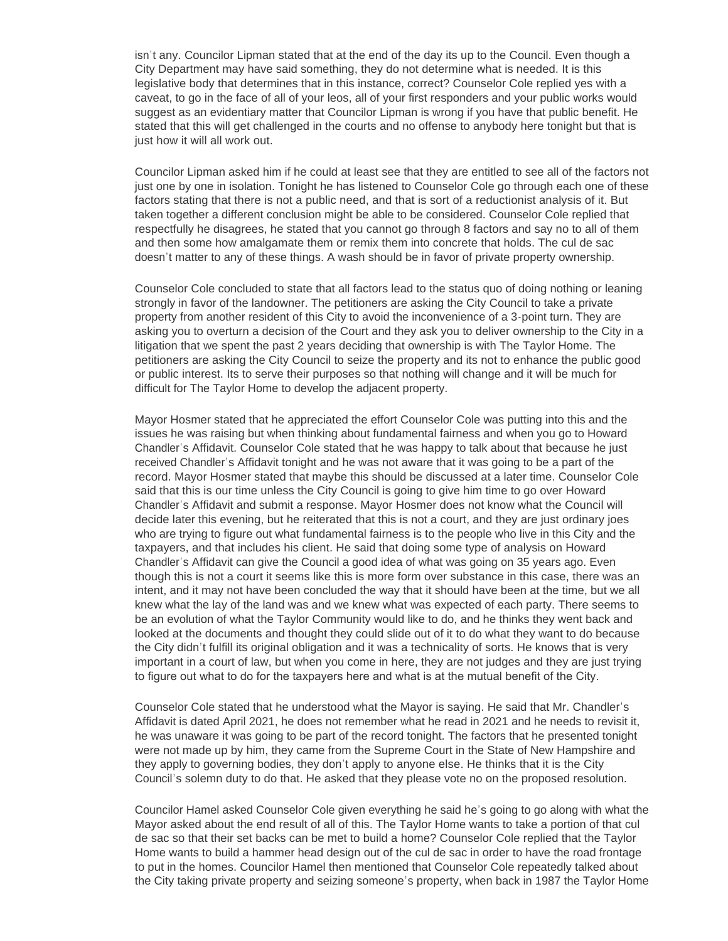isn't any. Councilor Lipman stated that at the end of the day its up to the Council. Even though a City Department may have said something, they do not determine what is needed. It is this legislative body that determines that in this instance, correct? Counselor Cole replied yes with a caveat, to go in the face of all of your leos, all of your first responders and your public works would suggest as an evidentiary matter that Councilor Lipman is wrong if you have that public benefit. He stated that this will get challenged in the courts and no offense to anybody here tonight but that is just how it will all work out.

Councilor Lipman asked him if he could at least see that they are entitled to see all of the factors not just one by one in isolation. Tonight he has listened to Counselor Cole go through each one of these factors stating that there is not a public need, and that is sort of a reductionist analysis of it. But taken together a different conclusion might be able to be considered. Counselor Cole replied that respectfully he disagrees, he stated that you cannot go through 8 factors and say no to all of them and then some how amalgamate them or remix them into concrete that holds. The cul de sac doesn't matter to any of these things. A wash should be in favor of private property ownership.

Counselor Cole concluded to state that all factors lead to the status quo of doing nothing or leaning strongly in favor of the landowner. The petitioners are asking the City Council to take a private property from another resident of this City to avoid the inconvenience of a 3-point turn. They are asking you to overturn a decision of the Court and they ask you to deliver ownership to the City in a litigation that we spent the past 2 years deciding that ownership is with The Taylor Home. The petitioners are asking the City Council to seize the property and its not to enhance the public good or public interest. Its to serve their purposes so that nothing will change and it will be much for difficult for The Taylor Home to develop the adjacent property.

Mayor Hosmer stated that he appreciated the effort Counselor Cole was putting into this and the issues he was raising but when thinking about fundamental fairness and when you go to Howard Chandler's Affidavit. Counselor Cole stated that he was happy to talk about that because he just received Chandler's Affidavit tonight and he was not aware that it was going to be a part of the record. Mayor Hosmer stated that maybe this should be discussed at a later time. Counselor Cole said that this is our time unless the City Council is going to give him time to go over Howard Chandler's Affidavit and submit a response. Mayor Hosmer does not know what the Council will decide later this evening, but he reiterated that this is not a court, and they are just ordinary joes who are trying to figure out what fundamental fairness is to the people who live in this City and the taxpayers, and that includes his client. He said that doing some type of analysis on Howard Chandler's Affidavit can give the Council a good idea of what was going on 35 years ago. Even though this is not a court it seems like this is more form over substance in this case, there was an intent, and it may not have been concluded the way that it should have been at the time, but we all knew what the lay of the land was and we knew what was expected of each party. There seems to be an evolution of what the Taylor Community would like to do, and he thinks they went back and looked at the documents and thought they could slide out of it to do what they want to do because the City didn't fulfill its original obligation and it was a technicality of sorts. He knows that is very important in a court of law, but when you come in here, they are not judges and they are just trying to figure out what to do for the taxpayers here and what is at the mutual benefit of the City.

Counselor Cole stated that he understood what the Mayor is saying. He said that Mr. Chandler's Affidavit is dated April 2021, he does not remember what he read in 2021 and he needs to revisit it, he was unaware it was going to be part of the record tonight. The factors that he presented tonight were not made up by him, they came from the Supreme Court in the State of New Hampshire and they apply to governing bodies, they don't apply to anyone else. He thinks that it is the City Council's solemn duty to do that. He asked that they please vote no on the proposed resolution.

Councilor Hamel asked Counselor Cole given everything he said he's going to go along with what the Mayor asked about the end result of all of this. The Taylor Home wants to take a portion of that cul de sac so that their set backs can be met to build a home? Counselor Cole replied that the Taylor Home wants to build a hammer head design out of the cul de sac in order to have the road frontage to put in the homes. Councilor Hamel then mentioned that Counselor Cole repeatedly talked about the City taking private property and seizing someone's property, when back in 1987 the Taylor Home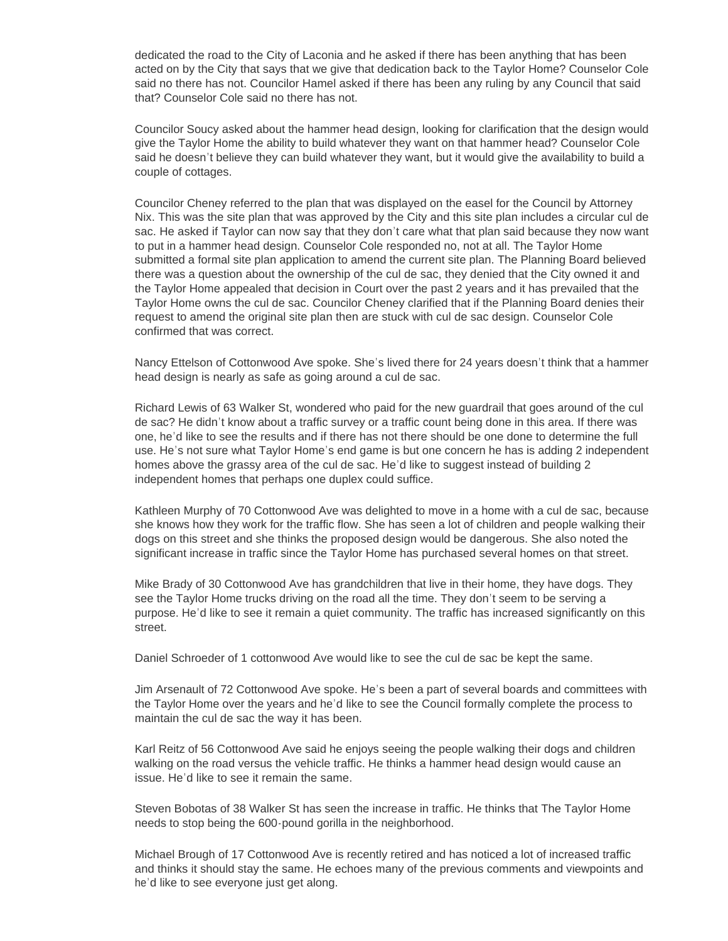dedicated the road to the City of Laconia and he asked if there has been anything that has been acted on by the City that says that we give that dedication back to the Taylor Home? Counselor Cole said no there has not. Councilor Hamel asked if there has been any ruling by any Council that said that? Counselor Cole said no there has not.

Councilor Soucy asked about the hammer head design, looking for clarification that the design would give the Taylor Home the ability to build whatever they want on that hammer head? Counselor Cole said he doesn't believe they can build whatever they want, but it would give the availability to build a couple of cottages.

Councilor Cheney referred to the plan that was displayed on the easel for the Council by Attorney Nix. This was the site plan that was approved by the City and this site plan includes a circular cul de sac. He asked if Taylor can now say that they don't care what that plan said because they now want to put in a hammer head design. Counselor Cole responded no, not at all. The Taylor Home submitted a formal site plan application to amend the current site plan. The Planning Board believed there was a question about the ownership of the cul de sac, they denied that the City owned it and the Taylor Home appealed that decision in Court over the past 2 years and it has prevailed that the Taylor Home owns the cul de sac. Councilor Cheney clarified that if the Planning Board denies their request to amend the original site plan then are stuck with cul de sac design. Counselor Cole confirmed that was correct.

Nancy Ettelson of Cottonwood Ave spoke. She's lived there for 24 years doesn't think that a hammer head design is nearly as safe as going around a cul de sac.

Richard Lewis of 63 Walker St, wondered who paid for the new guardrail that goes around of the cul de sac? He didn't know about a traffic survey or a traffic count being done in this area. If there was one, he'd like to see the results and if there has not there should be one done to determine the full use. He's not sure what Taylor Home's end game is but one concern he has is adding 2 independent homes above the grassy area of the cul de sac. He'd like to suggest instead of building 2 independent homes that perhaps one duplex could suffice.

Kathleen Murphy of 70 Cottonwood Ave was delighted to move in a home with a cul de sac, because she knows how they work for the traffic flow. She has seen a lot of children and people walking their dogs on this street and she thinks the proposed design would be dangerous. She also noted the significant increase in traffic since the Taylor Home has purchased several homes on that street.

Mike Brady of 30 Cottonwood Ave has grandchildren that live in their home, they have dogs. They see the Taylor Home trucks driving on the road all the time. They don't seem to be serving a purpose. He'd like to see it remain a quiet community. The traffic has increased significantly on this street.

Daniel Schroeder of 1 cottonwood Ave would like to see the cul de sac be kept the same.

Jim Arsenault of 72 Cottonwood Ave spoke. He's been a part of several boards and committees with the Taylor Home over the years and he'd like to see the Council formally complete the process to maintain the cul de sac the way it has been.

Karl Reitz of 56 Cottonwood Ave said he enjoys seeing the people walking their dogs and children walking on the road versus the vehicle traffic. He thinks a hammer head design would cause an issue. He'd like to see it remain the same.

Steven Bobotas of 38 Walker St has seen the increase in traffic. He thinks that The Taylor Home needs to stop being the 600-pound gorilla in the neighborhood.

Michael Brough of 17 Cottonwood Ave is recently retired and has noticed a lot of increased traffic and thinks it should stay the same. He echoes many of the previous comments and viewpoints and he'd like to see everyone just get along.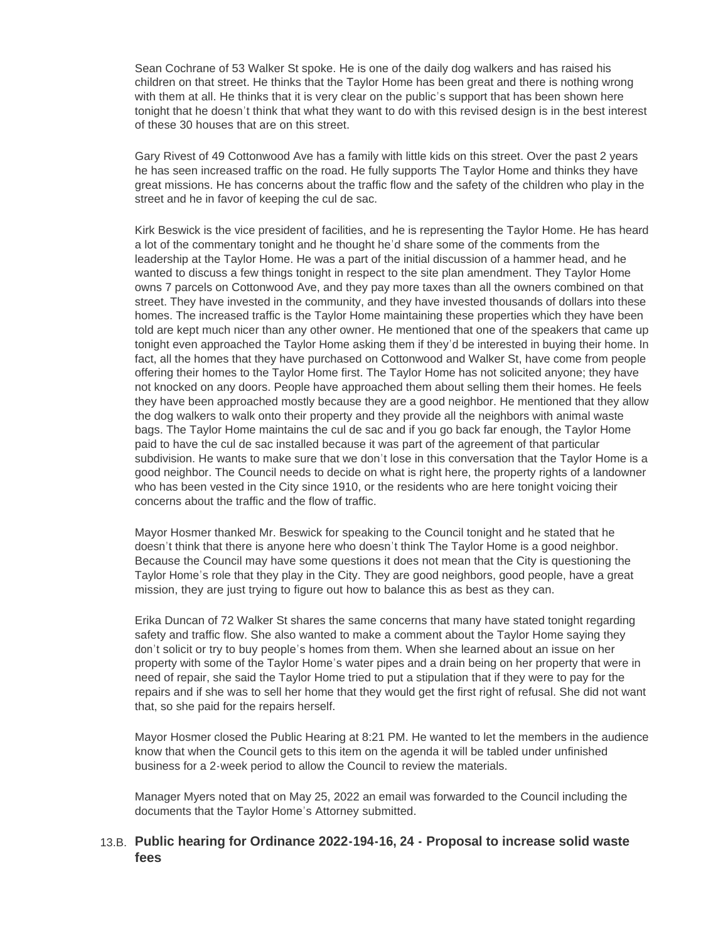Sean Cochrane of 53 Walker St spoke. He is one of the daily dog walkers and has raised his children on that street. He thinks that the Taylor Home has been great and there is nothing wrong with them at all. He thinks that it is very clear on the public's support that has been shown here tonight that he doesn't think that what they want to do with this revised design is in the best interest of these 30 houses that are on this street.

Gary Rivest of 49 Cottonwood Ave has a family with little kids on this street. Over the past 2 years he has seen increased traffic on the road. He fully supports The Taylor Home and thinks they have great missions. He has concerns about the traffic flow and the safety of the children who play in the street and he in favor of keeping the cul de sac.

Kirk Beswick is the vice president of facilities, and he is representing the Taylor Home. He has heard a lot of the commentary tonight and he thought he'd share some of the comments from the leadership at the Taylor Home. He was a part of the initial discussion of a hammer head, and he wanted to discuss a few things tonight in respect to the site plan amendment. They Taylor Home owns 7 parcels on Cottonwood Ave, and they pay more taxes than all the owners combined on that street. They have invested in the community, and they have invested thousands of dollars into these homes. The increased traffic is the Taylor Home maintaining these properties which they have been told are kept much nicer than any other owner. He mentioned that one of the speakers that came up tonight even approached the Taylor Home asking them if they'd be interested in buying their home. In fact, all the homes that they have purchased on Cottonwood and Walker St, have come from people offering their homes to the Taylor Home first. The Taylor Home has not solicited anyone; they have not knocked on any doors. People have approached them about selling them their homes. He feels they have been approached mostly because they are a good neighbor. He mentioned that they allow the dog walkers to walk onto their property and they provide all the neighbors with animal waste bags. The Taylor Home maintains the cul de sac and if you go back far enough, the Taylor Home paid to have the cul de sac installed because it was part of the agreement of that particular subdivision. He wants to make sure that we don't lose in this conversation that the Taylor Home is a good neighbor. The Council needs to decide on what is right here, the property rights of a landowner who has been vested in the City since 1910, or the residents who are here tonight voicing their concerns about the traffic and the flow of traffic.

Mayor Hosmer thanked Mr. Beswick for speaking to the Council tonight and he stated that he doesn't think that there is anyone here who doesn't think The Taylor Home is a good neighbor. Because the Council may have some questions it does not mean that the City is questioning the Taylor Home's role that they play in the City. They are good neighbors, good people, have a great mission, they are just trying to figure out how to balance this as best as they can.

Erika Duncan of 72 Walker St shares the same concerns that many have stated tonight regarding safety and traffic flow. She also wanted to make a comment about the Taylor Home saying they don't solicit or try to buy people's homes from them. When she learned about an issue on her property with some of the Taylor Home's water pipes and a drain being on her property that were in need of repair, she said the Taylor Home tried to put a stipulation that if they were to pay for the repairs and if she was to sell her home that they would get the first right of refusal. She did not want that, so she paid for the repairs herself.

Mayor Hosmer closed the Public Hearing at 8:21 PM. He wanted to let the members in the audience know that when the Council gets to this item on the agenda it will be tabled under unfinished business for a 2-week period to allow the Council to review the materials.

Manager Myers noted that on May 25, 2022 an email was forwarded to the Council including the documents that the Taylor Home's Attorney submitted.

## **Public hearing for Ordinance 2022-194-16, 24 - Proposal to increase solid waste**  13.B. **fees**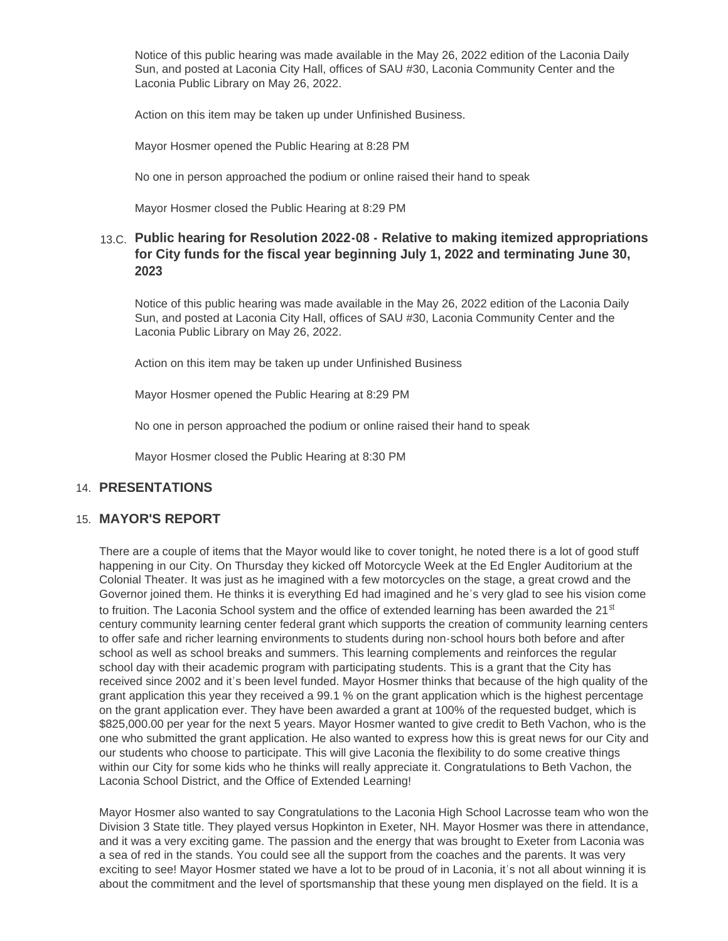Notice of this public hearing was made available in the May 26, 2022 edition of the Laconia Daily Sun, and posted at Laconia City Hall, offices of SAU #30, Laconia Community Center and the Laconia Public Library on May 26, 2022.

Action on this item may be taken up under Unfinished Business.

Mayor Hosmer opened the Public Hearing at 8:28 PM

No one in person approached the podium or online raised their hand to speak

Mayor Hosmer closed the Public Hearing at 8:29 PM

## **Public hearing for Resolution 2022-08 - Relative to making itemized appropriations**  13.C. **for City funds for the fiscal year beginning July 1, 2022 and terminating June 30, 2023**

Notice of this public hearing was made available in the May 26, 2022 edition of the Laconia Daily Sun, and posted at Laconia City Hall, offices of SAU #30, Laconia Community Center and the Laconia Public Library on May 26, 2022.

Action on this item may be taken up under Unfinished Business

Mayor Hosmer opened the Public Hearing at 8:29 PM

No one in person approached the podium or online raised their hand to speak

Mayor Hosmer closed the Public Hearing at 8:30 PM

#### **PRESENTATIONS** 14.

#### **MAYOR'S REPORT** 15.

There are a couple of items that the Mayor would like to cover tonight, he noted there is a lot of good stuff happening in our City. On Thursday they kicked off Motorcycle Week at the Ed Engler Auditorium at the Colonial Theater. It was just as he imagined with a few motorcycles on the stage, a great crowd and the Governor joined them. He thinks it is everything Ed had imagined and he's very glad to see his vision come to fruition. The Laconia School system and the office of extended learning has been awarded the 21 $\rm st$ century community learning center federal grant which supports the creation of community learning centers to offer safe and richer learning environments to students during non-school hours both before and after school as well as school breaks and summers. This learning complements and reinforces the regular school day with their academic program with participating students. This is a grant that the City has received since 2002 and it's been level funded. Mayor Hosmer thinks that because of the high quality of the grant application this year they received a 99.1 % on the grant application which is the highest percentage on the grant application ever. They have been awarded a grant at 100% of the requested budget, which is \$825,000.00 per year for the next 5 years. Mayor Hosmer wanted to give credit to Beth Vachon, who is the one who submitted the grant application. He also wanted to express how this is great news for our City and our students who choose to participate. This will give Laconia the flexibility to do some creative things within our City for some kids who he thinks will really appreciate it. Congratulations to Beth Vachon, the Laconia School District, and the Office of Extended Learning!

Mayor Hosmer also wanted to say Congratulations to the Laconia High School Lacrosse team who won the Division 3 State title. They played versus Hopkinton in Exeter, NH. Mayor Hosmer was there in attendance, and it was a very exciting game. The passion and the energy that was brought to Exeter from Laconia was a sea of red in the stands. You could see all the support from the coaches and the parents. It was very exciting to see! Mayor Hosmer stated we have a lot to be proud of in Laconia, it's not all about winning it is about the commitment and the level of sportsmanship that these young men displayed on the field. It is a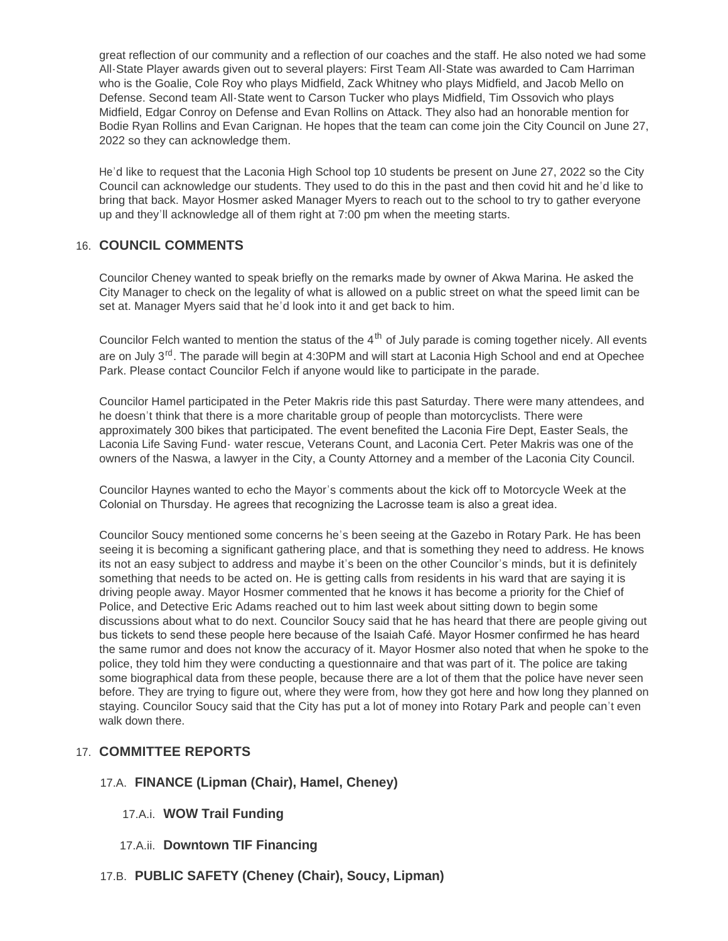great reflection of our community and a reflection of our coaches and the staff. He also noted we had some All-State Player awards given out to several players: First Team All-State was awarded to Cam Harriman who is the Goalie, Cole Roy who plays Midfield, Zack Whitney who plays Midfield, and Jacob Mello on Defense. Second team All-State went to Carson Tucker who plays Midfield, Tim Ossovich who plays Midfield, Edgar Conroy on Defense and Evan Rollins on Attack. They also had an honorable mention for Bodie Ryan Rollins and Evan Carignan. He hopes that the team can come join the City Council on June 27, 2022 so they can acknowledge them.

He'd like to request that the Laconia High School top 10 students be present on June 27, 2022 so the City Council can acknowledge our students. They used to do this in the past and then covid hit and he'd like to bring that back. Mayor Hosmer asked Manager Myers to reach out to the school to try to gather everyone up and they' ll acknowledge all of them right at 7:00 pm when the meeting starts.

## **COUNCIL COMMENTS** 16.

Councilor Cheney wanted to speak briefly on the remarks made by owner of Akwa Marina. He asked the City Manager to check on the legality of what is allowed on a public street on what the speed limit can be set at. Manager Myers said that he'd look into it and get back to him.

Councilor Felch wanted to mention the status of the  $4<sup>th</sup>$  of July parade is coming together nicely. All events are on July 3<sup>rd</sup>. The parade will begin at 4:30PM and will start at Laconia High School and end at Opechee Park. Please contact Councilor Felch if anyone would like to participate in the parade.

Councilor Hamel participated in the Peter Makris ride this past Saturday. There were many attendees, and he doesn't think that there is a more charitable group of people than motorcyclists. There were approximately 300 bikes that participated. The event benefited the Laconia Fire Dept, Easter Seals, the Laconia Life Saving Fund- water rescue, Veterans Count, and Laconia Cert. Peter Makris was one of the owners of the Naswa, a lawyer in the City, a County Attorney and a member of the Laconia City Council.

Councilor Haynes wanted to echo the Mayor's comments about the kick off to Motorcycle Week at the Colonial on Thursday. He agrees that recognizing the Lacrosse team is also a great idea.

Councilor Soucy mentioned some concerns he's been seeing at the Gazebo in Rotary Park. He has been seeing it is becoming a significant gathering place, and that is something they need to address. He knows its not an easy subject to address and maybe it's been on the other Councilor's minds, but it is definitely something that needs to be acted on. He is getting calls from residents in his ward that are saying it is driving people away. Mayor Hosmer commented that he knows it has become a priority for the Chief of Police, and Detective Eric Adams reached out to him last week about sitting down to begin some discussions about what to do next. Councilor Soucy said that he has heard that there are people giving out bus tickets to send these people here because of the Isaiah Café. Mayor Hosmer confirmed he has heard the same rumor and does not know the accuracy of it. Mayor Hosmer also noted that when he spoke to the police, they told him they were conducting a questionnaire and that was part of it. The police are taking some biographical data from these people, because there are a lot of them that the police have never seen before. They are trying to figure out, where they were from, how they got here and how long they planned on staying. Councilor Soucy said that the City has put a lot of money into Rotary Park and people can't even walk down there.

# **COMMITTEE REPORTS** 17.

## **FINANCE (Lipman (Chair), Hamel, Cheney)** 17.A.

#### **WOW Trail Funding** 17.A.i.

- 17.A.ii. Downtown TIF Financing
- **PUBLIC SAFETY (Cheney (Chair), Soucy, Lipman)** 17.B.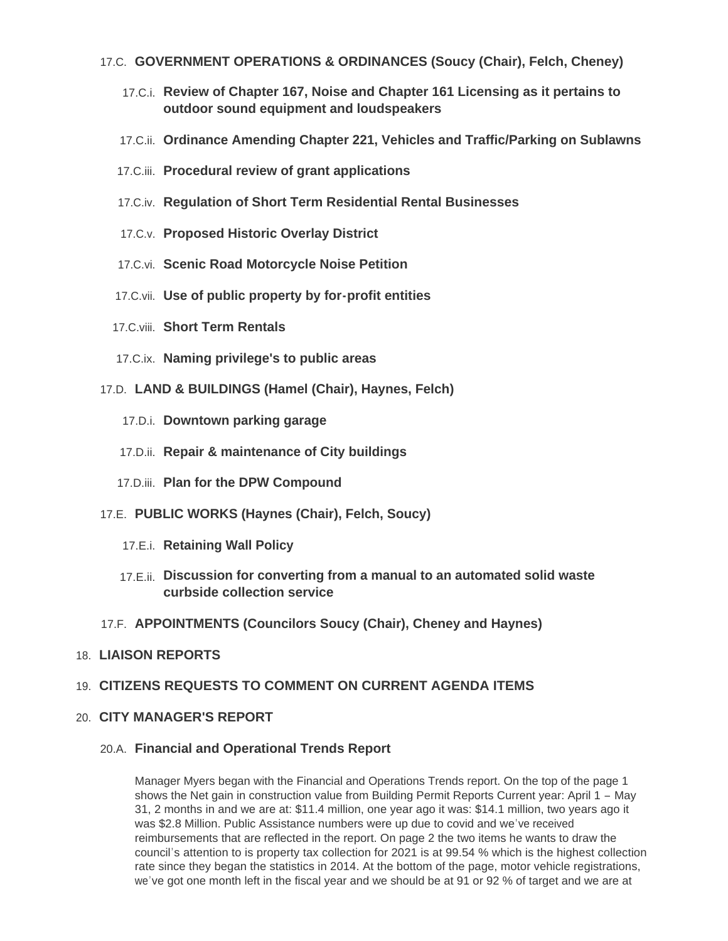## **GOVERNMENT OPERATIONS & ORDINANCES (Soucy (Chair), Felch, Cheney)** 17.C.

- **Review of Chapter 167, Noise and Chapter 161 Licensing as it pertains to**  17.C.i. **outdoor sound equipment and loudspeakers**
- **Ordinance Amending Chapter 221, Vehicles and Traffic/Parking on Sublawns** 17.C.ii.
- **Procedural review of grant applications** 17.C.iii.
- **Regulation of Short Term Residential Rental Businesses** 17.C.iv.
- **Proposed Historic Overlay District** 17.C.v.
- 17.C.vi. Scenic Road Motorcycle Noise Petition
- **Use of public property by for-profit entities** 17.C.vii.
- 17.C.viii. Short Term Rentals
- **Naming privilege's to public areas** 17.C.ix.
- **LAND & BUILDINGS (Hamel (Chair), Haynes, Felch)** 17.D.
	- 17.D.i. Downtown parking garage
	- 17.D.ii. Repair & maintenance of City buildings
	- 17.D.iii. Plan for the DPW Compound
- **PUBLIC WORKS (Haynes (Chair), Felch, Soucy)** 17.E.
	- 17.E.i. Retaining Wall Policy
	- **Discussion for converting from a manual to an automated solid waste**  17.E.ii. **curbside collection service**
- **APPOINTMENTS (Councilors Soucy (Chair), Cheney and Haynes)** 17.F.

#### **LIAISON REPORTS** 18.

## **CITIZENS REQUESTS TO COMMENT ON CURRENT AGENDA ITEMS** 19.

## **CITY MANAGER'S REPORT** 20.

#### **Financial and Operational Trends Report** 20.A.

Manager Myers began with the Financial and Operations Trends report. On the top of the page 1 shows the Net gain in construction value from Building Permit Reports Current year: April 1 – May 31, 2 months in and we are at: \$11.4 million, one year ago it was: \$14.1 million, two years ago it was \$2.8 Million. Public Assistance numbers were up due to covid and we've received reimbursements that are reflected in the report. On page 2 the two items he wants to draw the council's attention to is property tax collection for 2021 is at 99.54 % which is the highest collection rate since they began the statistics in 2014. At the bottom of the page, motor vehicle registrations, we've got one month left in the fiscal year and we should be at 91 or 92 % of target and we are at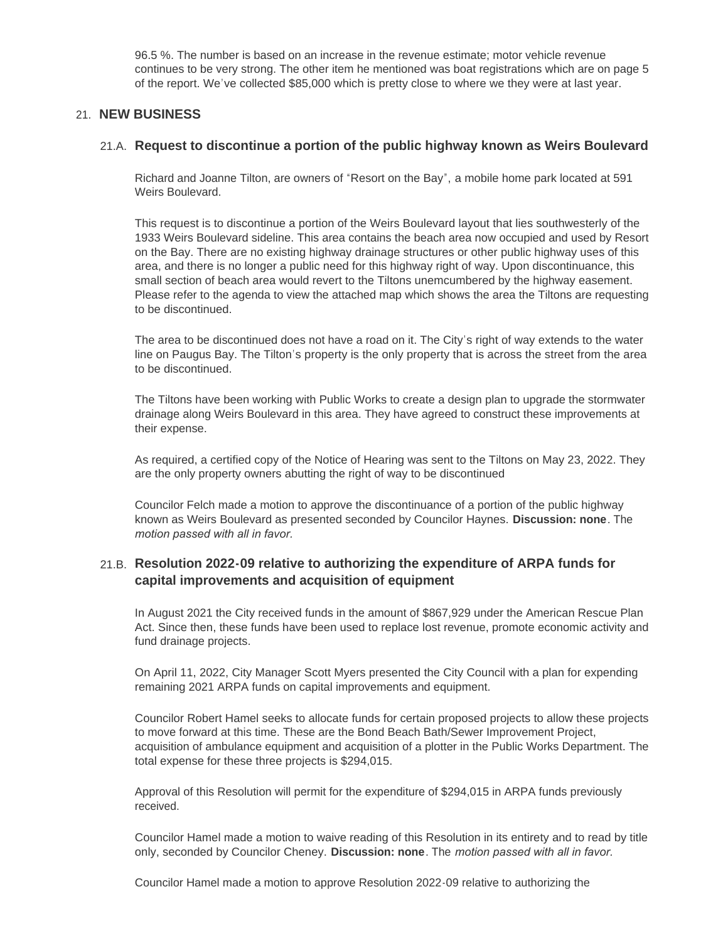96.5 %. The number is based on an increase in the revenue estimate; motor vehicle revenue continues to be very strong. The other item he mentioned was boat registrations which are on page 5 of the report. We've collected \$85,000 which is pretty close to where we they were at last year.

## **NEW BUSINESS** 21.

## **Request to discontinue a portion of the public highway known as Weirs Boulevard** 21.A.

Richard and Joanne Tilton, are owners of "Resort on the Bay", a mobile home park located at 591 Weirs Boulevard.

This request is to discontinue a portion of the Weirs Boulevard layout that lies southwesterly of the 1933 Weirs Boulevard sideline. This area contains the beach area now occupied and used by Resort on the Bay. There are no existing highway drainage structures or other public highway uses of this area, and there is no longer a public need for this highway right of way. Upon discontinuance, this small section of beach area would revert to the Tiltons unemcumbered by the highway easement. Please refer to the agenda to view the attached map which shows the area the Tiltons are requesting to be discontinued.

The area to be discontinued does not have a road on it. The City's right of way extends to the water line on Paugus Bay. The Tilton's property is the only property that is across the street from the area to be discontinued.

The Tiltons have been working with Public Works to create a design plan to upgrade the stormwater drainage along Weirs Boulevard in this area. They have agreed to construct these improvements at their expense.

As required, a certified copy of the Notice of Hearing was sent to the Tiltons on May 23, 2022. They are the only property owners abutting the right of way to be discontinued

Councilor Felch made a motion to approve the discontinuance of a portion of the public highway known as Weirs Boulevard as presented seconded by Councilor Haynes. **Discussion: none**. The *motion passed with all in favor.* 

## **Resolution 2022-09 relative to authorizing the expenditure of ARPA funds for**  21.B. **capital improvements and acquisition of equipment**

In August 2021 the City received funds in the amount of \$867,929 under the American Rescue Plan Act. Since then, these funds have been used to replace lost revenue, promote economic activity and fund drainage projects.

On April 11, 2022, City Manager Scott Myers presented the City Council with a plan for expending remaining 2021 ARPA funds on capital improvements and equipment.

Councilor Robert Hamel seeks to allocate funds for certain proposed projects to allow these projects to move forward at this time. These are the Bond Beach Bath/Sewer Improvement Project, acquisition of ambulance equipment and acquisition of a plotter in the Public Works Department. The total expense for these three projects is \$294,015.

Approval of this Resolution will permit for the expenditure of \$294,015 in ARPA funds previously received.

Councilor Hamel made a motion to waive reading of this Resolution in its entirety and to read by title only, seconded by Councilor Cheney. **Discussion: none**. The *motion passed with all in favor.* 

Councilor Hamel made a motion to approve Resolution 2022-09 relative to authorizing the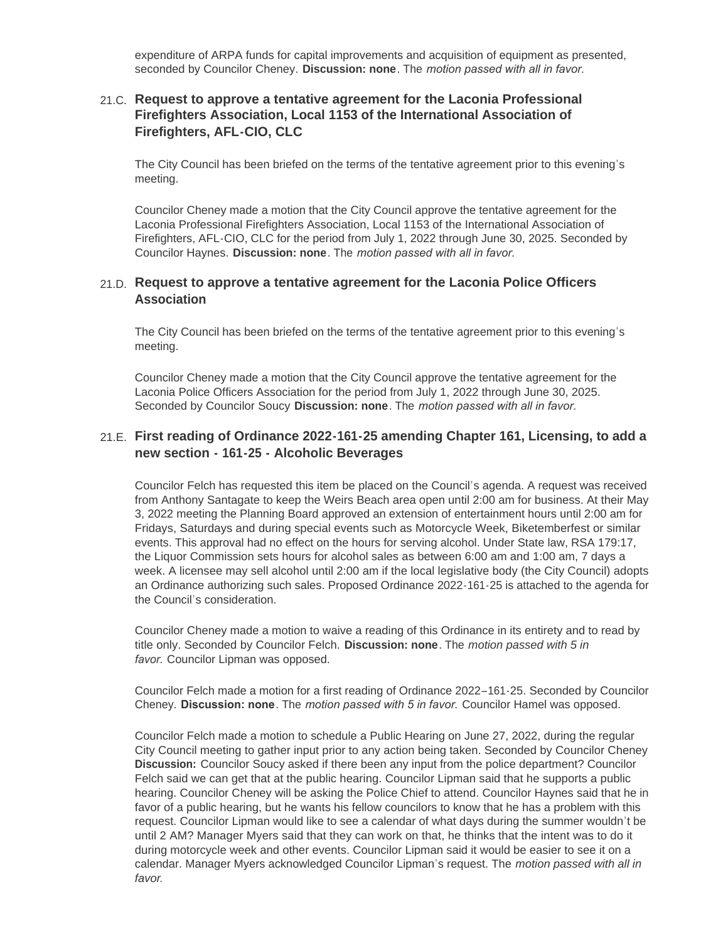expenditure of ARPA funds for capital improvements and acquisition of equipment as presented, seconded by Councilor Cheney. **Discussion: none**. The *motion passed with all in favor.* 

## **Request to approve a tentative agreement for the Laconia Professional**  21.C. **Firefighters Association, Local 1153 of the International Association of Firefighters, AFL-CIO, CLC**

The City Council has been briefed on the terms of the tentative agreement prior to this evening's meeting.

Councilor Cheney made a motion that the City Council approve the tentative agreement for the Laconia Professional Firefighters Association, Local 1153 of the International Association of Firefighters, AFL-CIO, CLC for the period from July 1, 2022 through June 30, 2025. Seconded by Councilor Haynes. **Discussion: none**. The *motion passed with all in favor.* 

#### **Request to approve a tentative agreement for the Laconia Police Officers**  21.D. **Association**

The City Council has been briefed on the terms of the tentative agreement prior to this evening's meeting.

Councilor Cheney made a motion that the City Council approve the tentative agreement for the Laconia Police Officers Association for the period from July 1, 2022 through June 30, 2025. Seconded by Councilor Soucy **Discussion: none**. The *motion passed with all in favor.* 

## **First reading of Ordinance 2022-161-25 amending Chapter 161, Licensing, to add a**  21.E. **new section - 161-25 - Alcoholic Beverages**

Councilor Felch has requested this item be placed on the Council's agenda. A request was received from Anthony Santagate to keep the Weirs Beach area open until 2:00 am for business. At their May 3, 2022 meeting the Planning Board approved an extension of entertainment hours until 2:00 am for Fridays, Saturdays and during special events such as Motorcycle Week, Biketemberfest or similar events. This approval had no effect on the hours for serving alcohol. Under State law, RSA 179:17, the Liquor Commission sets hours for alcohol sales as between 6:00 am and 1:00 am, 7 days a week. A licensee may sell alcohol until 2:00 am if the local legislative body (the City Council) adopts an Ordinance authorizing such sales. Proposed Ordinance 2022-161-25 is attached to the agenda for the Council's consideration.

Councilor Cheney made a motion to waive a reading of this Ordinance in its entirety and to read by title only. Seconded by Councilor Felch. **Discussion: none**. The *motion passed with 5 in favor.* Councilor Lipman was opposed.

Councilor Felch made a motion for a first reading of Ordinance 2022–161-25. Seconded by Councilor Cheney. **Discussion: none**. The *motion passed with 5 in favor.* Councilor Hamel was opposed.

Councilor Felch made a motion to schedule a Public Hearing on June 27, 2022, during the regular City Council meeting to gather input prior to any action being taken. Seconded by Councilor Cheney **Discussion:** Councilor Soucy asked if there been any input from the police department? Councilor Felch said we can get that at the public hearing. Councilor Lipman said that he supports a public hearing. Councilor Cheney will be asking the Police Chief to attend. Councilor Haynes said that he in favor of a public hearing, but he wants his fellow councilors to know that he has a problem with this request. Councilor Lipman would like to see a calendar of what days during the summer wouldn't be until 2 AM? Manager Myers said that they can work on that, he thinks that the intent was to do it during motorcycle week and other events. Councilor Lipman said it would be easier to see it on a calendar. Manager Myers acknowledged Councilor Lipman's request. The *motion passed with all in favor*.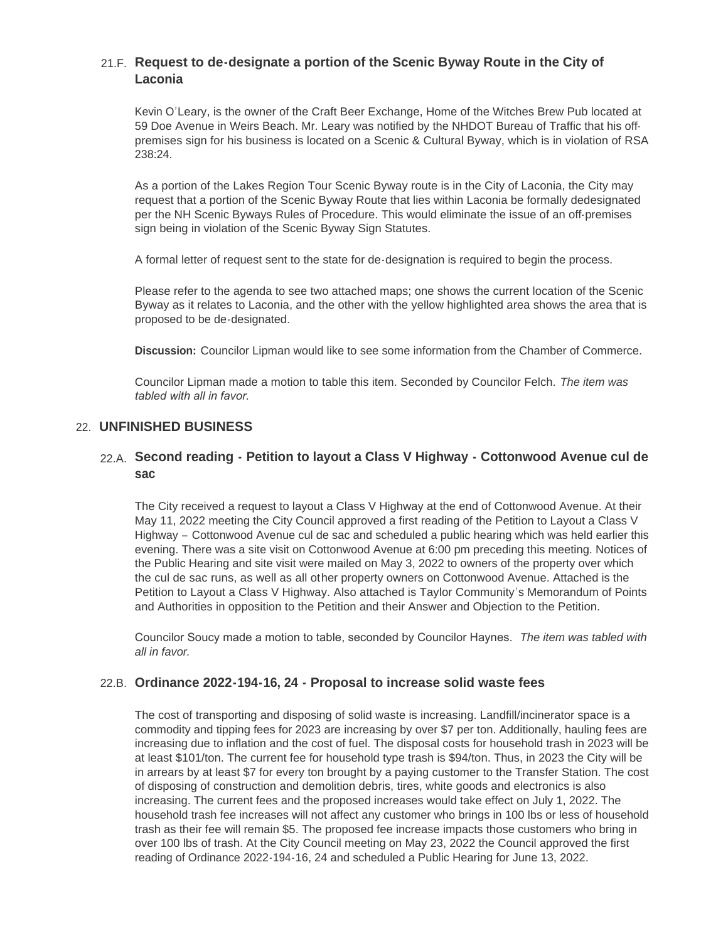# **Request to de-designate a portion of the Scenic Byway Route in the City of**  21.F. **Laconia**

Kevin O'Leary, is the owner of the Craft Beer Exchange, Home of the Witches Brew Pub located at 59 Doe Avenue in Weirs Beach. Mr. Leary was notified by the NHDOT Bureau of Traffic that his offpremises sign for his business is located on a Scenic & Cultural Byway, which is in violation of RSA 238:24.

As a portion of the Lakes Region Tour Scenic Byway route is in the City of Laconia, the City may request that a portion of the Scenic Byway Route that lies within Laconia be formally dedesignated per the NH Scenic Byways Rules of Procedure. This would eliminate the issue of an off-premises sign being in violation of the Scenic Byway Sign Statutes.

A formal letter of request sent to the state for de-designation is required to begin the process.

Please refer to the agenda to see two attached maps; one shows the current location of the Scenic Byway as it relates to Laconia, and the other with the yellow highlighted area shows the area that is proposed to be de-designated.

**Discussion:** Councilor Lipman would like to see some information from the Chamber of Commerce.

Councilor Lipman made a motion to table this item. Seconded by Councilor Felch. *The item was tabled with all in favor.* 

## **UNFINISHED BUSINESS** 22.

## **Second reading - Petition to layout a Class V Highway - Cottonwood Avenue cul de**  22.A. **sac**

The City received a request to layout a Class V Highway at the end of Cottonwood Avenue. At their May 11, 2022 meeting the City Council approved a first reading of the Petition to Layout a Class V Highway – Cottonwood Avenue cul de sac and scheduled a public hearing which was held earlier this evening. There was a site visit on Cottonwood Avenue at 6:00 pm preceding this meeting. Notices of the Public Hearing and site visit were mailed on May 3, 2022 to owners of the property over which the cul de sac runs, as well as all other property owners on Cottonwood Avenue. Attached is the Petition to Layout a Class V Highway. Also attached is Taylor Community's Memorandum of Points and Authorities in opposition to the Petition and their Answer and Objection to the Petition.

Councilor Soucy made a motion to table, seconded by Councilor Haynes. *The item was tabled with all in favor.*

## **Ordinance 2022-194-16, 24 - Proposal to increase solid waste fees** 22.B.

The cost of transporting and disposing of solid waste is increasing. Landfill/incinerator space is a commodity and tipping fees for 2023 are increasing by over \$7 per ton. Additionally, hauling fees are increasing due to inflation and the cost of fuel. The disposal costs for household trash in 2023 will be at least \$101/ton. The current fee for household type trash is \$94/ton. Thus, in 2023 the City will be in arrears by at least \$7 for every ton brought by a paying customer to the Transfer Station. The cost of disposing of construction and demolition debris, tires, white goods and electronics is also increasing. The current fees and the proposed increases would take effect on July 1, 2022. The household trash fee increases will not affect any customer who brings in 100 lbs or less of household trash as their fee will remain \$5. The proposed fee increase impacts those customers who bring in over 100 lbs of trash. At the City Council meeting on May 23, 2022 the Council approved the first reading of Ordinance 2022-194-16, 24 and scheduled a Public Hearing for June 13, 2022.